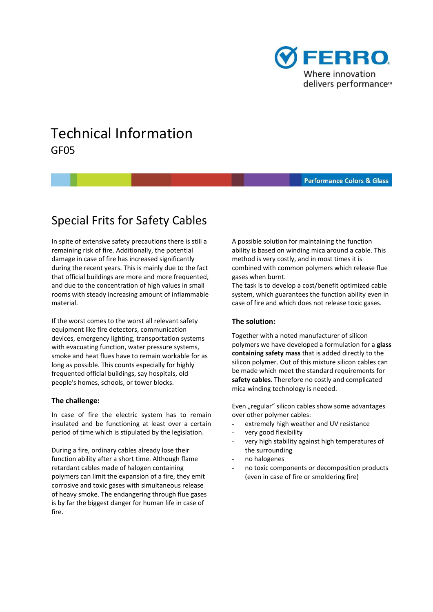

# Technical Information GF05

#### **Performance Colors & Glass**

## Special Frits for Safety Cables

In spite of extensive safety precautions there is still a remaining risk of fire. Additionally, the potential damage in case of fire has increased significantly during the recent years. This is mainly due to the fact that official buildings are more and more frequented, and due to the concentration of high values in small rooms with steady increasing amount of inflammable material.

If the worst comes to the worst all relevant safety equipment like fire detectors, communication devices, emergency lighting, transportation systems with evacuating function, water pressure systems, smoke and heat flues have to remain workable for as long as possible. This counts especially for highly frequented official buildings, say hospitals, old people's homes, schools, or tower blocks.

#### **The challenge:**

 In case of fire the electric system has to remain insulated and be functioning at least over a certain period of time which is stipulated by the legislation.

During a fire, ordinary cables already lose their function ability after a short time. Although flame retardant cables made of halogen containing polymers can limit the expansion of a fire, they emit corrosive and toxic gases with simultaneous release of heavy smoke. The endangering through flue gases is by far the biggest danger for human life in case of fire.

 A possible solution for maintaining the function ability is based on winding mica around a cable. This method is very costly, and in most times it is combined with common polymers which release flue gases when burnt.

 system, which guarantees the function ability even in The task is to develop a cost/benefit optimized cable case of fire and which does not release toxic gases.

## **The solution:**

 Together with a noted manufacturer of silicon polymers we have developed a formulation for a **glass containing safety mass** that is added directly to the silicon polymer. Out of this mixture silicon cables can be made which meet the standard requirements for **safety cables**. Therefore no costly and complicated mica winding technology is needed.

Even "regular" silicon cables show some advantages over other polymer cables:

- extremely high weather and UV resistance
- very good flexibility
- very high stability against high temperatures of the surrounding
- no halogenes
- no toxic components or decomposition products (even in case of fire or smoldering fire)